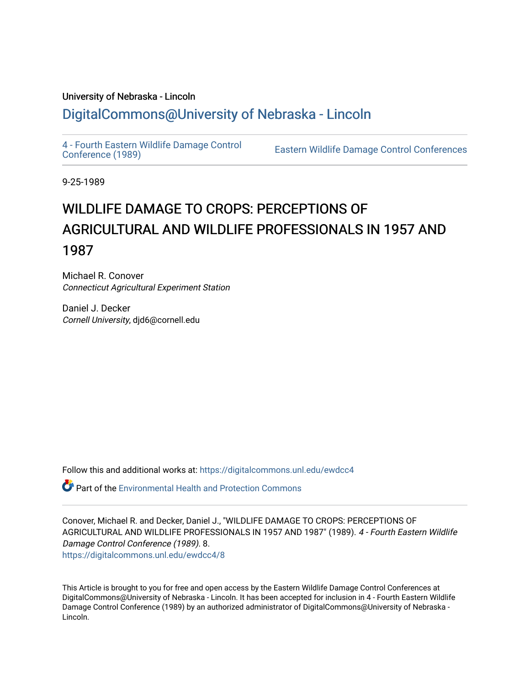## University of Nebraska - Lincoln [DigitalCommons@University of Nebraska - Lincoln](https://digitalcommons.unl.edu/)

[4 - Fourth Eastern Wildlife Damage Control](https://digitalcommons.unl.edu/ewdcc4)

Eastern Wildlife Damage Control Conferences

9-25-1989

## WILDLIFE DAMAGE TO CROPS: PERCEPTIONS OF AGRICULTURAL AND WILDLIFE PROFESSIONALS IN 1957 AND 1987

Michael R. Conover Connecticut Agricultural Experiment Station

Daniel J. Decker Cornell University, djd6@cornell.edu

Follow this and additional works at: [https://digitalcommons.unl.edu/ewdcc4](https://digitalcommons.unl.edu/ewdcc4?utm_source=digitalcommons.unl.edu%2Fewdcc4%2F8&utm_medium=PDF&utm_campaign=PDFCoverPages)

 $\bullet$  Part of the Environmental Health and Protection Commons

Conover, Michael R. and Decker, Daniel J., "WILDLIFE DAMAGE TO CROPS: PERCEPTIONS OF AGRICULTURAL AND WILDLIFE PROFESSIONALS IN 1957 AND 1987" (1989). 4 - Fourth Eastern Wildlife Damage Control Conference (1989). 8. [https://digitalcommons.unl.edu/ewdcc4/8](https://digitalcommons.unl.edu/ewdcc4/8?utm_source=digitalcommons.unl.edu%2Fewdcc4%2F8&utm_medium=PDF&utm_campaign=PDFCoverPages) 

This Article is brought to you for free and open access by the Eastern Wildlife Damage Control Conferences at DigitalCommons@University of Nebraska - Lincoln. It has been accepted for inclusion in 4 - Fourth Eastern Wildlife Damage Control Conference (1989) by an authorized administrator of DigitalCommons@University of Nebraska -Lincoln.